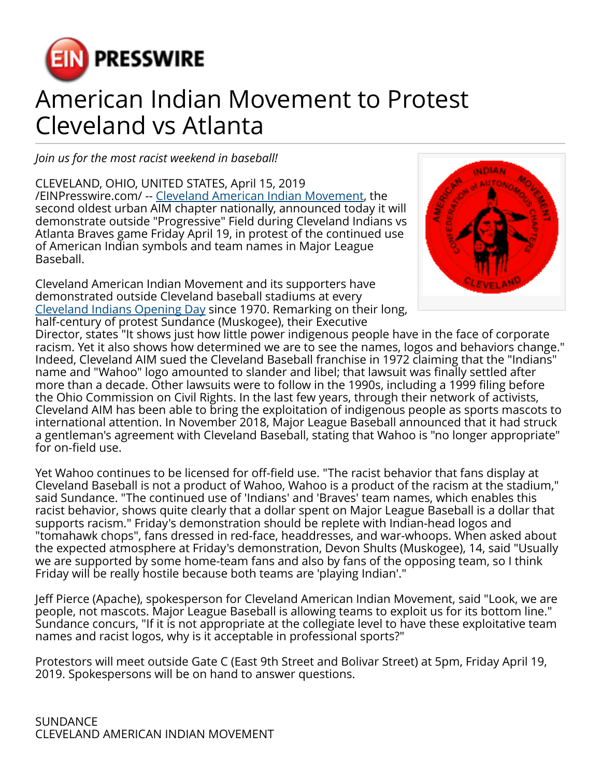

## American Indian Movement to Protest Cleveland vs Atlanta

*Join us for the most racist weekend in baseball!*

CLEVELAND, OHIO, UNITED STATES, April 15, 2019 [/EINPresswire.com/](http://www.einpresswire.com) -- [Cleveland American Indian Movement,](http://clevelandaim.us) the second oldest urban AIM chapter nationally, announced today it will demonstrate outside "Progressive" Field during Cleveland Indians vs Atlanta Braves game Friday April 19, in protest of the continued use of American Indian symbols and team names in Major League Baseball.

Cleveland American Indian Movement and its supporters have demonstrated outside Cleveland baseball stadiums at every [Cleveland Indians Opening Day](http://clevelandaim.us/event/2019/opening-day-demonstration-2019) since 1970. Remarking on their long, half-century of protest Sundance (Muskogee), their Executive



Director, states "It shows just how little power indigenous people have in the face of corporate racism. Yet it also shows how determined we are to see the names, logos and behaviors change." Indeed, Cleveland AIM sued the Cleveland Baseball franchise in 1972 claiming that the "Indians" name and "Wahoo" logo amounted to slander and libel; that lawsuit was finally settled after more than a decade. Other lawsuits were to follow in the 1990s, including a 1999 filing before the Ohio Commission on Civil Rights. In the last few years, through their network of activists, Cleveland AIM has been able to bring the exploitation of indigenous people as sports mascots to international attention. In November 2018, Major League Baseball announced that it had struck a gentleman's agreement with Cleveland Baseball, stating that Wahoo is "no longer appropriate" for on-field use.

Yet Wahoo continues to be licensed for off-field use. "The racist behavior that fans display at Cleveland Baseball is not a product of Wahoo, Wahoo is a product of the racism at the stadium," said Sundance. "The continued use of 'Indians' and 'Braves' team names, which enables this racist behavior, shows quite clearly that a dollar spent on Major League Baseball is a dollar that supports racism." Friday's demonstration should be replete with Indian-head logos and "tomahawk chops", fans dressed in red-face, headdresses, and war-whoops. When asked about the expected atmosphere at Friday's demonstration, Devon Shults (Muskogee), 14, said "Usually we are supported by some home-team fans and also by fans of the opposing team, so I think Friday will be really hostile because both teams are 'playing Indian'."

Jeff Pierce (Apache), spokesperson for Cleveland American Indian Movement, said "Look, we are people, not mascots. Major League Baseball is allowing teams to exploit us for its bottom line." Sundance concurs, "If it is not appropriate at the collegiate level to have these exploitative team names and racist logos, why is it acceptable in professional sports?"

Protestors will meet outside Gate C (East 9th Street and Bolivar Street) at 5pm, Friday April 19, 2019. Spokespersons will be on hand to answer questions.